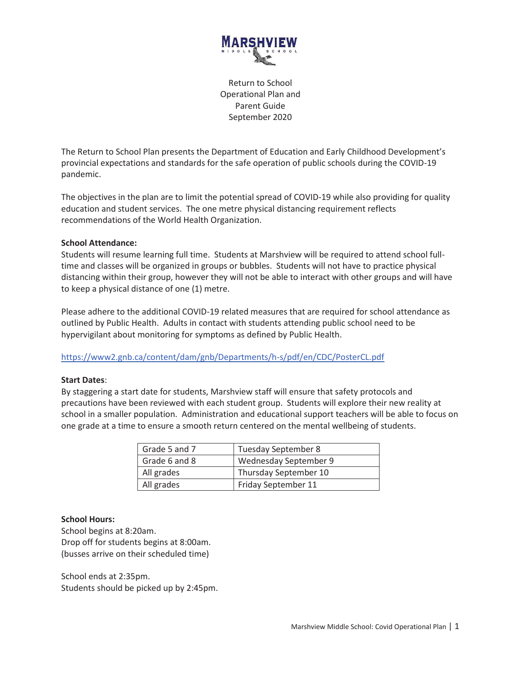

Return to School Operational Plan and Parent Guide September 2020

The Return to School Plan presents the Department of Education and Early Childhood Development's provincial expectations and standards for the safe operation of public schools during the COVID-19 pandemic.

The objectives in the plan are to limit the potential spread of COVID-19 while also providing for quality education and student services. The one metre physical distancing requirement reflects recommendations of the World Health Organization.

### **School Attendance:**

Students will resume learning full time. Students at Marshview will be required to attend school fulltime and classes will be organized in groups or bubbles. Students will not have to practice physical distancing within their group, however they will not be able to interact with other groups and will have to keep a physical distance of one (1) metre.

Please adhere to the additional COVID-19 related measures that are required for school attendance as outlined by Public Health. Adults in contact with students attending public school need to be hypervigilant about monitoring for symptoms as defined by Public Health.

https://www2.gnb.ca/content/dam/gnb/Departments/h-s/pdf/en/CDC/PosterCL.pdf

#### **Start Dates**:

By staggering a start date for students, Marshview staff will ensure that safety protocols and precautions have been reviewed with each student group. Students will explore their new reality at school in a smaller population. Administration and educational support teachers will be able to focus on one grade at a time to ensure a smooth return centered on the mental wellbeing of students.

| Grade 5 and 7 | Tuesday September 8   |
|---------------|-----------------------|
| Grade 6 and 8 | Wednesday September 9 |
| All grades    | Thursday September 10 |
| All grades    | Friday September 11   |

#### **School Hours:**

School begins at 8:20am. Drop off for students begins at 8:00am. (busses arrive on their scheduled time)

School ends at 2:35pm. Students should be picked up by 2:45pm.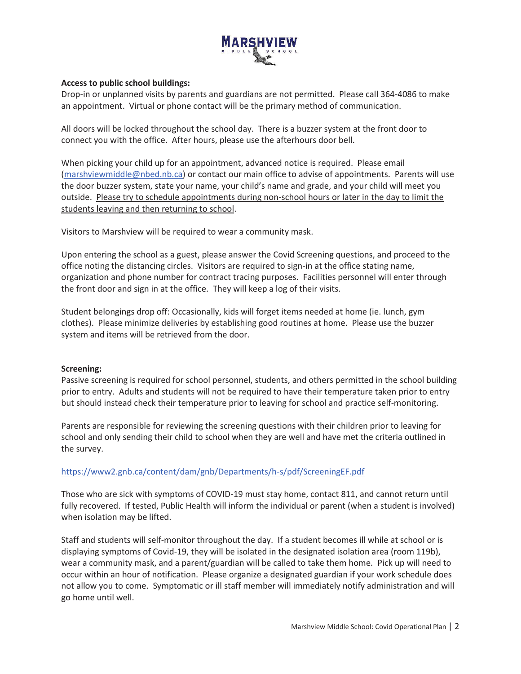

## **Access to public school buildings:**

Drop-in or unplanned visits by parents and guardians are not permitted. Please call 364-4086 to make an appointment. Virtual or phone contact will be the primary method of communication.

All doors will be locked throughout the school day. There is a buzzer system at the front door to connect you with the office. After hours, please use the afterhours door bell.

When picking your child up for an appointment, advanced notice is required. Please email (marshviewmiddle@nbed.nb.ca) or contact our main office to advise of appointments. Parents will use the door buzzer system, state your name, your child's name and grade, and your child will meet you outside. Please try to schedule appointments during non-school hours or later in the day to limit the students leaving and then returning to school.

Visitors to Marshview will be required to wear a community mask.

Upon entering the school as a guest, please answer the Covid Screening questions, and proceed to the office noting the distancing circles. Visitors are required to sign-in at the office stating name, organization and phone number for contract tracing purposes. Facilities personnel will enter through the front door and sign in at the office. They will keep a log of their visits.

Student belongings drop off: Occasionally, kids will forget items needed at home (ie. lunch, gym clothes). Please minimize deliveries by establishing good routines at home. Please use the buzzer system and items will be retrieved from the door.

# **Screening:**

Passive screening is required for school personnel, students, and others permitted in the school building prior to entry. Adults and students will not be required to have their temperature taken prior to entry but should instead check their temperature prior to leaving for school and practice self-monitoring.

Parents are responsible for reviewing the screening questions with their children prior to leaving for school and only sending their child to school when they are well and have met the criteria outlined in the survey.

# https://www2.gnb.ca/content/dam/gnb/Departments/h-s/pdf/ScreeningEF.pdf

Those who are sick with symptoms of COVID-19 must stay home, contact 811, and cannot return until fully recovered. If tested, Public Health will inform the individual or parent (when a student is involved) when isolation may be lifted.

Staff and students will self-monitor throughout the day. If a student becomes ill while at school or is displaying symptoms of Covid-19, they will be isolated in the designated isolation area (room 119b), wear a community mask, and a parent/guardian will be called to take them home. Pick up will need to occur within an hour of notification. Please organize a designated guardian if your work schedule does not allow you to come. Symptomatic or ill staff member will immediately notify administration and will go home until well.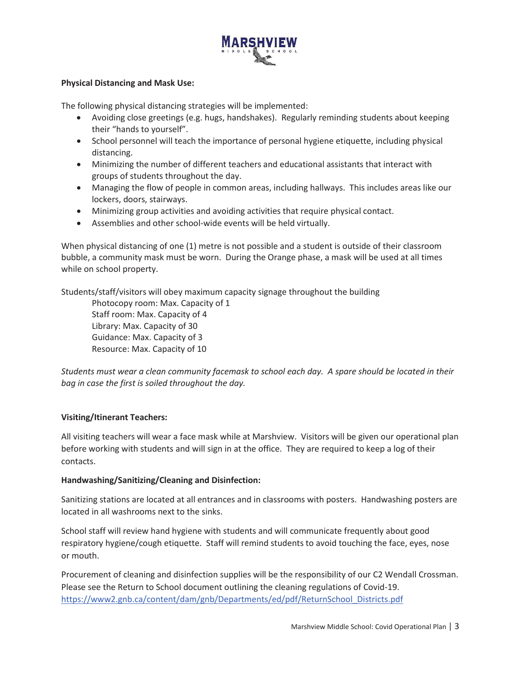

## **Physical Distancing and Mask Use:**

The following physical distancing strategies will be implemented:

- · Avoiding close greetings (e.g. hugs, handshakes). Regularly reminding students about keeping their "hands to yourself".
- · School personnel will teach the importance of personal hygiene etiquette, including physical distancing.
- · Minimizing the number of different teachers and educational assistants that interact with groups of students throughout the day.
- · Managing the flow of people in common areas, including hallways. This includes areas like our lockers, doors, stairways.
- · Minimizing group activities and avoiding activities that require physical contact.
- · Assemblies and other school-wide events will be held virtually.

When physical distancing of one (1) metre is not possible and a student is outside of their classroom bubble, a community mask must be worn. During the Orange phase, a mask will be used at all times while on school property.

Students/staff/visitors will obey maximum capacity signage throughout the building

Photocopy room: Max. Capacity of 1 Staff room: Max. Capacity of 4 Library: Max. Capacity of 30 Guidance: Max. Capacity of 3 Resource: Max. Capacity of 10

*Students must wear a clean community facemask to school each day. A spare should be located in their bag in case the first is soiled throughout the day.* 

# **Visiting/Itinerant Teachers:**

All visiting teachers will wear a face mask while at Marshview. Visitors will be given our operational plan before working with students and will sign in at the office. They are required to keep a log of their contacts.

# **Handwashing/Sanitizing/Cleaning and Disinfection:**

Sanitizing stations are located at all entrances and in classrooms with posters. Handwashing posters are located in all washrooms next to the sinks.

School staff will review hand hygiene with students and will communicate frequently about good respiratory hygiene/cough etiquette. Staff will remind students to avoid touching the face, eyes, nose or mouth.

Procurement of cleaning and disinfection supplies will be the responsibility of our C2 Wendall Crossman. Please see the Return to School document outlining the cleaning regulations of Covid-19. https://www2.gnb.ca/content/dam/gnb/Departments/ed/pdf/ReturnSchool\_Districts.pdf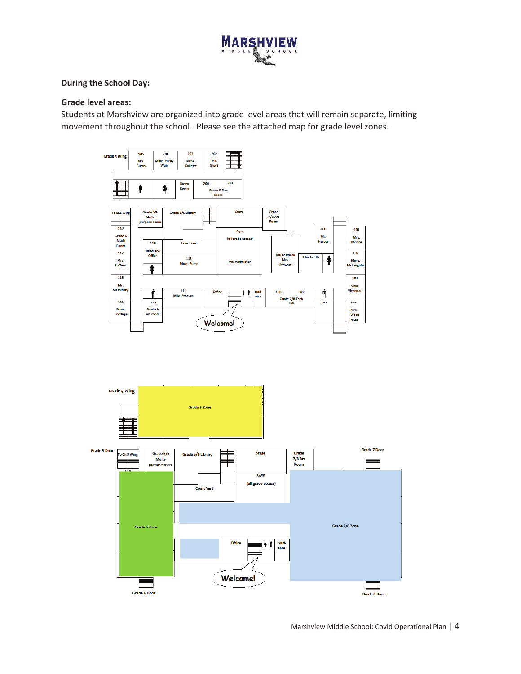

### **During the School Day:**

## **Grade level areas:**

Students at Marshview are organized into grade level areas that will remain separate, limiting movement throughout the school. Please see the attached map for grade level zones.

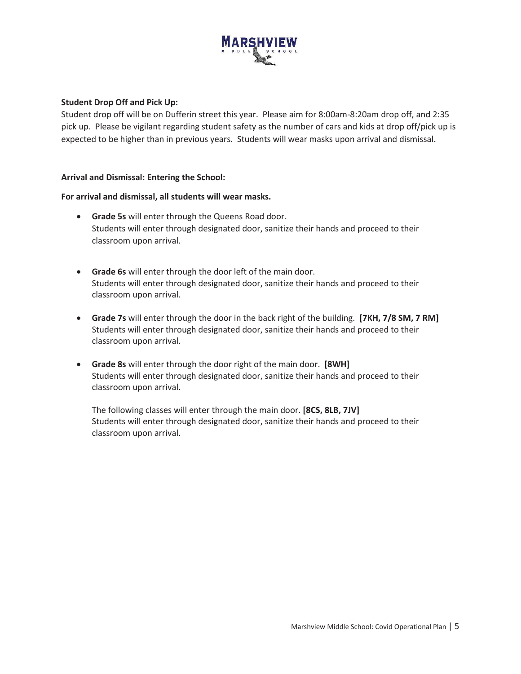

### **Student Drop Off and Pick Up:**

Student drop off will be on Dufferin street this year. Please aim for 8:00am-8:20am drop off, and 2:35 pick up. Please be vigilant regarding student safety as the number of cars and kids at drop off/pick up is expected to be higher than in previous years. Students will wear masks upon arrival and dismissal.

### **Arrival and Dismissal: Entering the School:**

### **For arrival and dismissal, all students will wear masks.**

- · **Grade 5s** will enter through the Queens Road door. Students will enter through designated door, sanitize their hands and proceed to their classroom upon arrival.
- · **Grade 6s** will enter through the door left of the main door. Students will enter through designated door, sanitize their hands and proceed to their classroom upon arrival.
- · **Grade 7s** will enter through the door in the back right of the building. **[7KH, 7/8 SM, 7 RM]** Students will enter through designated door, sanitize their hands and proceed to their classroom upon arrival.
- · **Grade 8s** will enter through the door right of the main door. **[8WH]** Students will enter through designated door, sanitize their hands and proceed to their classroom upon arrival.

The following classes will enter through the main door. **[8CS, 8LB, 7JV]** Students will enter through designated door, sanitize their hands and proceed to their classroom upon arrival.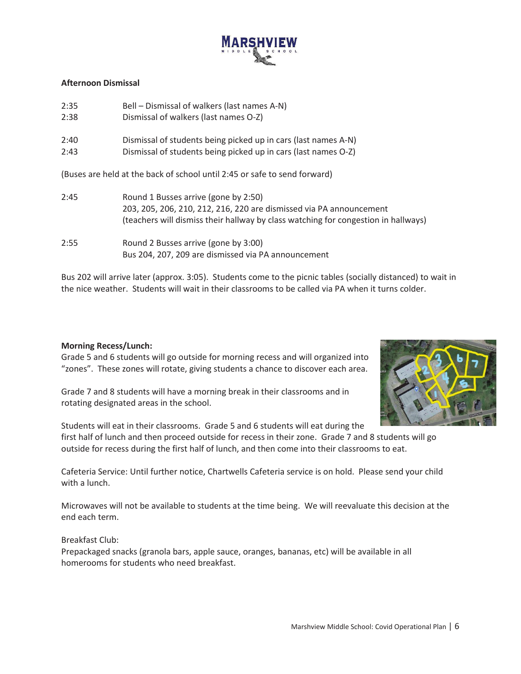

### **Afternoon Dismissal**

| 2:35                                                                      | Bell - Dismissal of walkers (last names A-N)                                       |  |  |  |  |
|---------------------------------------------------------------------------|------------------------------------------------------------------------------------|--|--|--|--|
| 2:38                                                                      | Dismissal of walkers (last names O-Z)                                              |  |  |  |  |
| 2:40                                                                      | Dismissal of students being picked up in cars (last names A-N)                     |  |  |  |  |
| 2:43                                                                      | Dismissal of students being picked up in cars (last names O-Z)                     |  |  |  |  |
| (Buses are held at the back of school until 2:45 or safe to send forward) |                                                                                    |  |  |  |  |
| 2:45                                                                      | Round 1 Busses arrive (gone by 2:50)                                               |  |  |  |  |
|                                                                           | 203, 205, 206, 210, 212, 216, 220 are dismissed via PA announcement                |  |  |  |  |
|                                                                           | (teachers will dismiss their hallway by class watching for congestion in hallways) |  |  |  |  |
| 2:55                                                                      | Round 2 Busses arrive (gone by 3:00)                                               |  |  |  |  |
|                                                                           | Bus 204, 207, 209 are dismissed via PA announcement                                |  |  |  |  |

Bus 202 will arrive later (approx. 3:05). Students come to the picnic tables (socially distanced) to wait in the nice weather. Students will wait in their classrooms to be called via PA when it turns colder.

#### **Morning Recess/Lunch:**

Grade 5 and 6 students will go outside for morning recess and will organized into "zones". These zones will rotate, giving students a chance to discover each area.

Grade 7 and 8 students will have a morning break in their classrooms and in rotating designated areas in the school.



Students will eat in their classrooms. Grade 5 and 6 students will eat during the first half of lunch and then proceed outside for recess in their zone. Grade 7 and 8 students will go outside for recess during the first half of lunch, and then come into their classrooms to eat.

Cafeteria Service: Until further notice, Chartwells Cafeteria service is on hold. Please send your child with a lunch.

Microwaves will not be available to students at the time being. We will reevaluate this decision at the end each term.

# Breakfast Club:

Prepackaged snacks (granola bars, apple sauce, oranges, bananas, etc) will be available in all homerooms for students who need breakfast.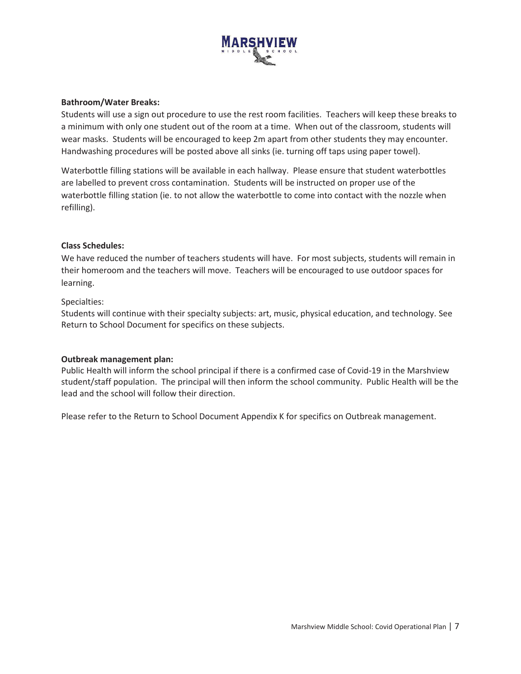

#### **Bathroom/Water Breaks:**

Students will use a sign out procedure to use the rest room facilities. Teachers will keep these breaks to a minimum with only one student out of the room at a time. When out of the classroom, students will wear masks. Students will be encouraged to keep 2m apart from other students they may encounter. Handwashing procedures will be posted above all sinks (ie. turning off taps using paper towel).

Waterbottle filling stations will be available in each hallway. Please ensure that student waterbottles are labelled to prevent cross contamination. Students will be instructed on proper use of the waterbottle filling station (ie. to not allow the waterbottle to come into contact with the nozzle when refilling).

# **Class Schedules:**

We have reduced the number of teachers students will have. For most subjects, students will remain in their homeroom and the teachers will move. Teachers will be encouraged to use outdoor spaces for learning.

### Specialties:

Students will continue with their specialty subjects: art, music, physical education, and technology. See Return to School Document for specifics on these subjects.

#### **Outbreak management plan:**

Public Health will inform the school principal if there is a confirmed case of Covid-19 in the Marshview student/staff population. The principal will then inform the school community. Public Health will be the lead and the school will follow their direction.

Please refer to the Return to School Document Appendix K for specifics on Outbreak management.